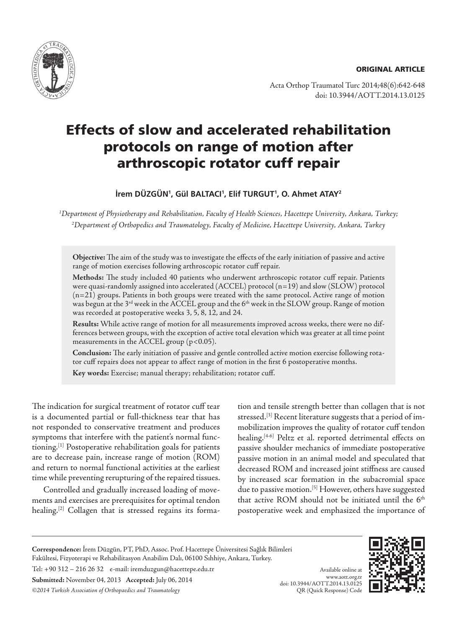

Acta Orthop Traumatol Turc 2014;48(6):642-648 doi: 10.3944/AOTT.2014.13.0125

# Effects of slow and accelerated rehabilitation protocols on range of motion after arthroscopic rotator cuff repair

# **İrem DÜZGÜN1 , Gül BALTACI1 , Elif TURGUT1 , O. Ahmet ATAY2**

*1 Department of Physiotherapy and Rehabilitation, Faculty of Health Sciences, Hacettepe University, Ankara, Turkey; 2 Department of Orthopedics and Traumatology, Faculty of Medicine, Hacettepe University, Ankara, Turkey*

**Objective:** The aim of the study was to investigate the effects of the early initiation of passive and active range of motion exercises following arthroscopic rotator cuff repair.

**Methods:** The study included 40 patients who underwent arthroscopic rotator cuff repair. Patients were quasi-randomly assigned into accelerated (ACCEL) protocol (n=19) and slow (SLOW) protocol (n=21) groups. Patients in both groups were treated with the same protocol. Active range of motion was begun at the 3<sup>rd</sup> week in the ACCEL group and the 6<sup>th</sup> week in the SLOW group. Range of motion was recorded at postoperative weeks 3, 5, 8, 12, and 24.

**Results:** While active range of motion for all measurements improved across weeks, there were no differences between groups, with the exception of active total elevation which was greater at all time point measurements in the ACCEL group (p<0.05).

**Conclusion:** The early initiation of passive and gentle controlled active motion exercise following rotator cuff repairs does not appear to affect range of motion in the first 6 postoperative months.

**Key words:** Exercise; manual therapy; rehabilitation; rotator cuff.

The indication for surgical treatment of rotator cuff tear is a documented partial or full-thickness tear that has not responded to conservative treatment and produces symptoms that interfere with the patient's normal functioning.[1] Postoperative rehabilitation goals for patients are to decrease pain, increase range of motion (ROM) and return to normal functional activities at the earliest time while preventing rerupturing of the repaired tissues.

Controlled and gradually increased loading of movements and exercises are prerequisites for optimal tendon healing.<sup>[2]</sup> Collagen that is stressed regains its formation and tensile strength better than collagen that is not stressed.<sup>[3]</sup> Recent literature suggests that a period of immobilization improves the quality of rotator cuff tendon healing.<sup>[4-6]</sup> Peltz et al. reported detrimental effects on passive shoulder mechanics of immediate postoperative passive motion in an animal model and speculated that decreased ROM and increased joint stiffness are caused by increased scar formation in the subacromial space due to passive motion.<sup>[5]</sup> However, others have suggested that active ROM should not be initiated until the 6<sup>th</sup> postoperative week and emphasized the importance of

**Correspondence:** İrem Düzgün, PT, PhD, Assoc. Prof. Hacettepe Üniversitesi Sağlık Bilimleri Fakültesi, Fizyoterapi ve Rehabilitasyon Anabilim Dalı, 06100 Sıhhiye, Ankara, Turkey.

Tel: +90 312 – 216 26 32 e-mail: iremduzgun@hacettepe.edu.tr

**Submitted:** November 04, 2013 **Accepted:** July 06, 2014 *©2014 Turkish Association of Orthopaedics and Traumatology*

Available online at www.aott.org.tr doi: 10.3944/AOTT.2014.13.0125 QR (Quick Response) Code

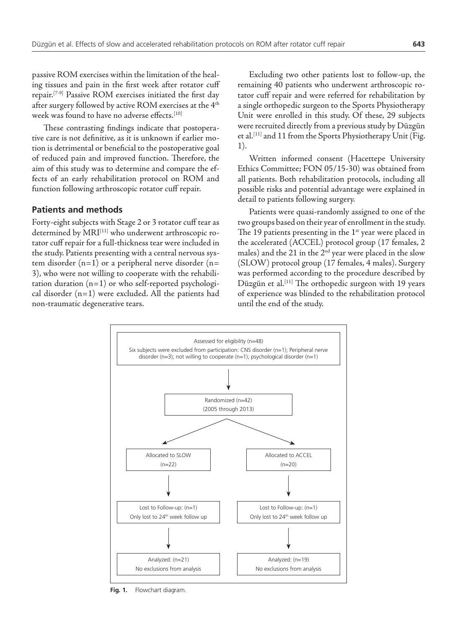passive ROM exercises within the limitation of the healing tissues and pain in the first week after rotator cuff repair.[7-9] Passive ROM exercises initiated the first day after surgery followed by active ROM exercises at the 4<sup>th</sup> week was found to have no adverse effects.<sup>[10]</sup>

These contrasting findings indicate that postoperative care is not definitive, as it is unknown if earlier motion is detrimental or beneficial to the postoperative goal of reduced pain and improved function. Therefore, the aim of this study was to determine and compare the effects of an early rehabilitation protocol on ROM and function following arthroscopic rotator cuff repair.

#### **Patients and methods**

Forty-eight subjects with Stage 2 or 3 rotator cuff tear as determined by MRI<sup>[11]</sup> who underwent arthroscopic rotator cuff repair for a full-thickness tear were included in the study. Patients presenting with a central nervous system disorder  $(n=1)$  or a peripheral nerve disorder  $(n=$ 3), who were not willing to cooperate with the rehabilitation duration  $(n=1)$  or who self-reported psychological disorder  $(n=1)$  were excluded. All the patients had non-traumatic degenerative tears.

Excluding two other patients lost to follow-up, the remaining 40 patients who underwent arthroscopic rotator cuff repair and were referred for rehabilitation by a single orthopedic surgeon to the Sports Physiotherapy Unit were enrolled in this study. Of these, 29 subjects were recruited directly from a previous study by Düzgün et al.<sup>[11]</sup> and 11 from the Sports Physiotherapy Unit (Fig. 1).

Written informed consent (Hacettepe University Ethics Committee; FON 05/15-30) was obtained from all patients. Both rehabilitation protocols, including all possible risks and potential advantage were explained in detail to patients following surgery.

Patients were quasi-randomly assigned to one of the two groups based on their year of enrollment in the study. The 19 patients presenting in the  $1<sup>st</sup>$  year were placed in the accelerated (ACCEL) protocol group (17 females, 2 males) and the 21 in the  $2<sup>nd</sup>$  year were placed in the slow (SLOW) protocol group (17 females, 4 males). Surgery was performed according to the procedure described by Düzgün et al.<sup>[11]</sup> The orthopedic surgeon with 19 years of experience was blinded to the rehabilitation protocol until the end of the study.



**Fig. 1.** Flowchart diagram.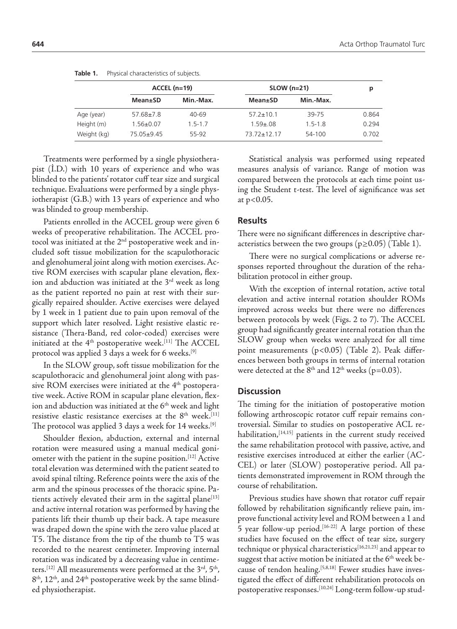|             | $ACCEL (n=19)$  |             | $SLOW (n=21)$   |             | р     |
|-------------|-----------------|-------------|-----------------|-------------|-------|
|             | Mean±SD         | Min.-Max.   | <b>Mean</b> ±SD | Min.-Max.   |       |
| Age (year)  | $57.68 \pm 7.8$ | $40 - 69$   | $57.2 \pm 10.1$ | 39-75       | 0.864 |
| Height (m)  | $1.56 \pm 0.07$ | $1.5 - 1.7$ | $1.59 + 08$     | $1.5 - 1.8$ | 0.294 |
| Weight (kg) | $75.05+9.45$    | 55-92       | 73 72 + 12 17   | 54-100      | 0.702 |

Table 1. Physical characteristics of subjects.

Treatments were performed by a single physiotherapist (İ.D.) with 10 years of experience and who was blinded to the patients' rotator cuff tear size and surgical technique. Evaluations were performed by a single physiotherapist (G.B.) with 13 years of experience and who was blinded to group membership.

Patients enrolled in the ACCEL group were given 6 weeks of preoperative rehabilitation. The ACCEL protocol was initiated at the 2<sup>nd</sup> postoperative week and included soft tissue mobilization for the scapulothoracic and glenohumeral joint along with motion exercises. Active ROM exercises with scapular plane elevation, flexion and abduction was initiated at the 3<sup>rd</sup> week as long as the patient reported no pain at rest with their surgically repaired shoulder. Active exercises were delayed by 1 week in 1 patient due to pain upon removal of the support which later resolved. Light resistive elastic resistance (Thera-Band, red color-coded) exercises were initiated at the  $4<sup>th</sup>$  postoperative week.<sup>[11]</sup> The ACCEL protocol was applied 3 days a week for 6 weeks.<sup>[9]</sup>

In the SLOW group, soft tissue mobilization for the scapulothoracic and glenohumeral joint along with passive ROM exercises were initiated at the  $4<sup>th</sup>$  postoperative week. Active ROM in scapular plane elevation, flexion and abduction was initiated at the 6<sup>th</sup> week and light resistive elastic resistance exercises at the  $8<sup>th</sup>$  week.<sup>[11]</sup> The protocol was applied 3 days a week for 14 weeks.<sup>[9]</sup>

Shoulder flexion, abduction, external and internal rotation were measured using a manual medical goniometer with the patient in the supine position.[12] Active total elevation was determined with the patient seated to avoid spinal tilting. Reference points were the axis of the arm and the spinous processes of the thoracic spine. Patients actively elevated their arm in the sagittal plane<sup>[13]</sup> and active internal rotation was performed by having the patients lift their thumb up their back. A tape measure was draped down the spine with the zero value placed at T5. The distance from the tip of the thumb to T5 was recorded to the nearest centimeter. Improving internal rotation was indicated by a decreasing value in centimeters.<sup>[12]</sup> All measurements were performed at the  $3<sup>rd</sup>$ ,  $5<sup>th</sup>$ , 8<sup>th</sup>, 12<sup>th</sup>, and 24<sup>th</sup> postoperative week by the same blinded physiotherapist.

Statistical analysis was performed using repeated measures analysis of variance. Range of motion was compared between the protocols at each time point using the Student t-test. The level of significance was set at p<0.05.

## **Results**

There were no significant differences in descriptive characteristics between the two groups ( $p \ge 0.05$ ) (Table 1).

There were no surgical complications or adverse responses reported throughout the duration of the rehabilitation protocol in either group.

With the exception of internal rotation, active total elevation and active internal rotation shoulder ROMs improved across weeks but there were no differences between protocols by week (Figs. 2 to 7). The ACCEL group had significantly greater internal rotation than the SLOW group when weeks were analyzed for all time point measurements (p<0.05) (Table 2). Peak differences between both groups in terms of internal rotation were detected at the  $8<sup>th</sup>$  and  $12<sup>th</sup>$  weeks (p=0.03).

### **Discussion**

The timing for the initiation of postoperative motion following arthroscopic rotator cuff repair remains controversial. Similar to studies on postoperative ACL rehabilitation,<sup>[14,15]</sup> patients in the current study received the same rehabilitation protocol with passive, active, and resistive exercises introduced at either the earlier (AC-CEL) or later (SLOW) postoperative period. All patients demonstrated improvement in ROM through the course of rehabilitation.

Previous studies have shown that rotator cuff repair followed by rehabilitation significantly relieve pain, improve functional activity level and ROM between a 1 and 5 year follow-up period.<sup>[16-22]</sup> A large portion of these studies have focused on the effect of tear size, surgery technique or physical characteristics<sup>[16,21,23]</sup> and appear to suggest that active motion be initiated at the  $6<sup>th</sup>$  week because of tendon healing.<sup>[5,8,18]</sup> Fewer studies have investigated the effect of different rehabilitation protocols on postoperative responses.<sup>[10,24]</sup> Long-term follow-up stud-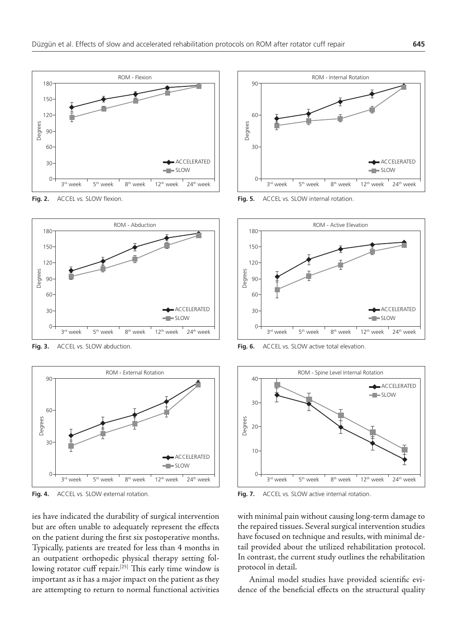

Fig. 2. ACCEL vs. SLOW flexion.



Fig. 3. ACCEL vs. SLOW abduction.



Fig. 4. ACCEL vs. SLOW external rotation.

ies have indicated the durability of surgical intervention but are often unable to adequately represent the effects on the patient during the first six postoperative months. Typically, patients are treated for less than 4 months in an outpatient orthopedic physical therapy setting following rotator cuff repair.<sup>[25]</sup> This early time window is important as it has a major impact on the patient as they are attempting to return to normal functional activities



Fig. 5. ACCEL vs. SLOW internal rotation.



Fig. 6. ACCEL vs. SLOW active total elevation.



Fig. 7. ACCEL vs. SLOW active internal rotation.

with minimal pain without causing long-term damage to the repaired tissues. Several surgical intervention studies have focused on technique and results, with minimal detail provided about the utilized rehabilitation protocol. In contrast, the current study outlines the rehabilitation protocol in detail.

Animal model studies have provided scientific evidence of the beneficial effects on the structural quality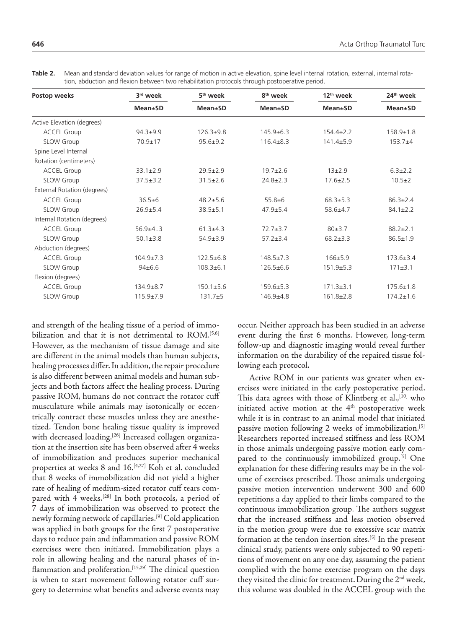| Postop weeks                | 3rd week        | 5 <sup>th</sup> week<br><b>Mean</b> ±SD | 8 <sup>th</sup> week<br><b>Mean</b> ±SD | 12 <sup>th</sup> week<br><b>Mean</b> ±SD | 24 <sup>th</sup> week<br>Mean±SD |
|-----------------------------|-----------------|-----------------------------------------|-----------------------------------------|------------------------------------------|----------------------------------|
|                             | <b>Mean±SD</b>  |                                         |                                         |                                          |                                  |
| Active Elevation (degrees)  |                 |                                         |                                         |                                          |                                  |
| <b>ACCEL Group</b>          | $94.3 + 9.9$    | $126.3 + 9.8$                           | $145.9 + 6.3$                           | $154.4 \pm 2.2$                          | $158.9 \pm 1.8$                  |
| <b>SLOW Group</b>           | 70.9±17         | $95.6 \pm 9.2$                          | $116.4 \pm 8.3$                         | $141.4 \pm 5.9$                          | $153.7+4$                        |
| Spine Level Internal        |                 |                                         |                                         |                                          |                                  |
| Rotation (centimeters)      |                 |                                         |                                         |                                          |                                  |
| <b>ACCEL Group</b>          | $33.1 \pm 2.9$  | $29.5 + 2.9$                            | $19.7 + 2.6$                            | $13+2.9$                                 | $6.3 + 2.2$                      |
| <b>SLOW Group</b>           | $37.5 \pm 3.2$  | $31.5 \pm 2.6$                          | $24.8 \pm 2.3$                          | $17.6 \pm 2.5$                           | $10.5 \pm 2$                     |
| External Rotation (degrees) |                 |                                         |                                         |                                          |                                  |
| <b>ACCEL Group</b>          | $36.5 \pm 6$    | $48.2 + 5.6$                            | $55.8 + 6$                              | $68.3 + 5.3$                             | $86.3 \pm 2.4$                   |
| <b>SLOW Group</b>           | $26.9 + 5.4$    | $38.5 + 5.1$                            | $47.9 + 5.4$                            | $58.6 \pm 4.7$                           | $84.1 \pm 2.2$                   |
| Internal Rotation (degrees) |                 |                                         |                                         |                                          |                                  |
| <b>ACCEL Group</b>          | $56.9+4.3$      | $61.3 + 4.3$                            | $72.7 + 3.7$                            | 80±3.7                                   | $88.2 \pm 2.1$                   |
| <b>SLOW Group</b>           | $50.1 \pm 3.8$  | $54.9 + 3.9$                            | $57.2 + 3.4$                            | $68.2 + 3.3$                             | $86.5 \pm 1.9$                   |
| Abduction (degrees)         |                 |                                         |                                         |                                          |                                  |
| <b>ACCEL Group</b>          | $104.9 \pm 7.3$ | $122.5 + 6.8$                           | $148.5 + 7.3$                           | $166 + 5.9$                              | $173.6 + 3.4$                    |
| <b>SLOW Group</b>           | 94±6.6          | $108.3 + 6.1$                           | $126.5 \pm 6.6$                         | $151.9 \pm 5.3$                          | $171 \pm 3.1$                    |
| Flexion (degrees)           |                 |                                         |                                         |                                          |                                  |
| <b>ACCEL Group</b>          | $134.9 \pm 8.7$ | $150.1 \pm 5.6$                         | $159.6 \pm 5.3$                         | $171.3 \pm 3.1$                          | $175.6 \pm 1.8$                  |
| <b>SLOW Group</b>           | $115.9 \pm 7.9$ | $131.7 + 5$                             | $146.9 + 4.8$                           | $161.8 \pm 2.8$                          | $174.2 \pm 1.6$                  |

**Table 2.** Mean and standard deviation values for range of motion in active elevation, spine level internal rotation, external, internal rotation, abduction and flexion between two rehabilitation protocols through postoperative period.

and strength of the healing tissue of a period of immobilization and that it is not detrimental to  $ROM.$ <sup>[5,6]</sup> However, as the mechanism of tissue damage and site are different in the animal models than human subjects, healing processes differ. In addition, the repair procedure is also different between animal models and human subjects and both factors affect the healing process. During passive ROM, humans do not contract the rotator cuff musculature while animals may isotonically or eccentrically contract these muscles unless they are anesthetized. Tendon bone healing tissue quality is improved with decreased loading.<sup>[26]</sup> Increased collagen organization at the insertion site has been observed after 4 weeks of immobilization and produces superior mechanical properties at weeks 8 and 16.[4,27] Koh et al. concluded that 8 weeks of immobilization did not yield a higher rate of healing of medium-sized rotator cuff tears compared with 4 weeks.<sup>[28]</sup> In both protocols, a period of 7 days of immobilization was observed to protect the newly forming network of capillaries.[9] Cold application was applied in both groups for the first 7 postoperative days to reduce pain and inflammation and passive ROM exercises were then initiated. Immobilization plays a role in allowing healing and the natural phases of inflammation and proliferation.<sup>[15,29]</sup> The clinical question is when to start movement following rotator cuff surgery to determine what benefits and adverse events may

occur. Neither approach has been studied in an adverse event during the first 6 months. However, long-term follow-up and diagnostic imaging would reveal further information on the durability of the repaired tissue following each protocol.

Active ROM in our patients was greater when exercises were initiated in the early postoperative period. This data agrees with those of Klintberg et al.,<sup>[10]</sup> who initiated active motion at the  $4<sup>th</sup>$  postoperative week while it is in contrast to an animal model that initiated passive motion following 2 weeks of immobilization.<sup>[5]</sup> Researchers reported increased stiffness and less ROM in those animals undergoing passive motion early compared to the continuously immobilized group.<sup>[5]</sup> One explanation for these differing results may be in the volume of exercises prescribed. Those animals undergoing passive motion intervention underwent 300 and 600 repetitions a day applied to their limbs compared to the continuous immobilization group. The authors suggest that the increased stiffness and less motion observed in the motion group were due to excessive scar matrix formation at the tendon insertion sites.<sup>[5]</sup> In the present clinical study, patients were only subjected to 90 repetitions of movement on any one day, assuming the patient complied with the home exercise program on the days they visited the clinic for treatment. During the 2<sup>nd</sup> week, this volume was doubled in the ACCEL group with the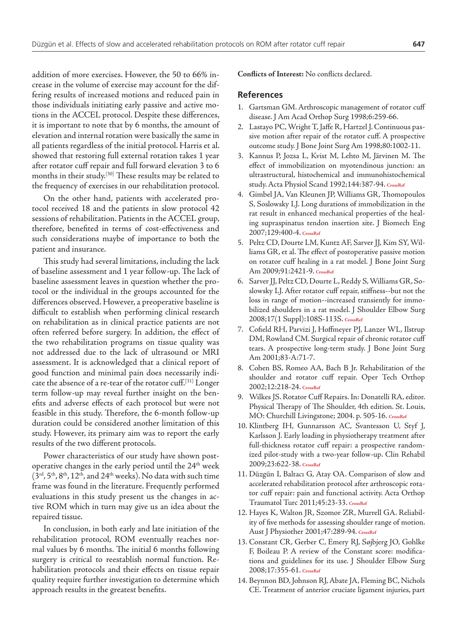addition of more exercises. However, the 50 to 66% increase in the volume of exercise may account for the differing results of increased motions and reduced pain in those individuals initiating early passive and active motions in the ACCEL protocol. Despite these differences, it is important to note that by 6 months, the amount of elevation and internal rotation were basically the same in all patients regardless of the initial protocol. Harris et al. showed that restoring full external rotation takes 1 year after rotator cuff repair and full forward elevation 3 to 6 months in their study.<sup>[30]</sup> These results may be related to the frequency of exercises in our rehabilitation protocol.

On the other hand, patients with accelerated protocol received 18 and the patients in slow protocol 42 sessions of rehabilitation. Patients in the ACCEL group, therefore, benefited in terms of cost-effectiveness and such considerations maybe of importance to both the patient and insurance.

This study had several limitations, including the lack of baseline assessment and 1 year follow-up. The lack of baseline assessment leaves in question whether the protocol or the individual in the groups accounted for the differences observed. However, a preoperative baseline is difficult to establish when performing clinical research on rehabilitation as in clinical practice patients are not often referred before surgery. In addition, the effect of the two rehabilitation programs on tissue quality was not addressed due to the lack of ultrasound or MRI assessment. It is acknowledged that a clinical report of good function and minimal pain does necessarily indicate the absence of a re-tear of the rotator cuff.[31] Longer term follow-up may reveal further insight on the benefits and adverse effects of each protocol but were not feasible in this study. Therefore, the 6-month follow-up duration could be considered another limitation of this study. However, its primary aim was to report the early results of the two different protocols.

Power characteristics of our study have shown postoperative changes in the early period until the  $24<sup>th</sup>$  week  $(3<sup>rd</sup>, 5<sup>th</sup>, 8<sup>th</sup>, 12<sup>th</sup>, and 24<sup>th</sup> weeks).$  No data with such time frame was found in the literature. Frequently performed evaluations in this study present us the changes in active ROM which in turn may give us an idea about the repaired tissue.

In conclusion, in both early and late initiation of the rehabilitation protocol, ROM eventually reaches normal values by 6 months. The initial 6 months following surgery is critical to reestablish normal function. Rehabilitation protocols and their effects on tissue repair quality require further investigation to determine which approach results in the greatest benefits.

**Conflicts of Interest:** No conflicts declared.

#### **References**

- 1. Gartsman GM. Arthroscopic management of rotator cuff disease. J Am Acad Orthop Surg 1998;6:259-66.
- 2. Lastayo PC, Wright T, Jaffe R, Hartzel J. Continuous passive motion after repair of the rotator cuff. A prospective outcome study. J Bone Joint Surg Am 1998;80:1002-11.
- 3. Kannus P, Jozsa L, Kvist M, Lehto M, Järvinen M. The effect of immobilization on myotendinous junction: an ultrastructural, histochemical and immunohistochemical study. Acta Physiol Scand 1992;144:387-94. **[CrossRef](http://dx.doi.org/10.1111/j.1748-1716.1992.tb09309.x)**
- 4. Gimbel JA, Van Kleunen JP, Williams GR, Thomopoulos S, Soslowsky LJ. Long durations of immobilization in the rat result in enhanced mechanical properties of the healing supraspinatus tendon insertion site. J Biomech Eng 2007;129:400-4. **[CrossRef](http://dx.doi.org/10.1115/1.2721075)**
- 5. Peltz CD, Dourte LM, Kuntz AF, Sarver JJ, Kim SY, Williams GR, et al. The effect of postoperative passive motion on rotator cuff healing in a rat model. J Bone Joint Surg Am 2009;91:2421-9. **[CrossRef](http://dx.doi.org/10.2106/JBJS.H.01121)**
- 6. Sarver JJ, Peltz CD, Dourte L, Reddy S, Williams GR, Soslowsky LJ. After rotator cuff repair, stiffness--but not the loss in range of motion--increased transiently for immobilized shoulders in a rat model. J Shoulder Elbow Surg 2008;17(1 Suppl):108S-113S. **[CrossRef](http://dx.doi.org/10.1016/j.jse.2007.08.004)**
- 7. Cofield RH, Parvizi J, Hoffmeyer PJ, Lanzer WL, Ilstrup DM, Rowland CM. Surgical repair of chronic rotator cuff tears. A prospective long-term study. J Bone Joint Surg Am 2001;83-A:71-7.
- 8. Cohen BS, Romeo AA, Bach B Jr. Rehabilitation of the shoulder and rotator cuff repair. Oper Tech Orthop 2002;12:218-24. **[CrossRef](http://dx.doi.org/10.1053/otor.2002.36289)**
- 9. Wilkes JS. Rotator Cuff Repairs. In: Donatelli RA, editor. Physical Therapy of The Shoulder, 4th edition. St. Louis, MO: Churchill Livingstone; 2004. p. 505-16. **[CrossRef](http://dx.doi.org/10.1016/B978-044306614-6.50020-X)**
- 10. Klintberg IH, Gunnarsson AC, Svantesson U, Styf J, Karlsson J. Early loading in physiotherapy treatment after full-thickness rotator cuff repair: a prospective randomized pilot-study with a two-year follow-up. Clin Rehabil 2009;23:622-38. **[CrossRef](http://dx.doi.org/10.1177/0269215509102952)**
- 11. Düzgün I, Baltacı G, Atay OA. Comparison of slow and accelerated rehabilitation protocol after arthroscopic rotator cuff repair: pain and functional activity. Acta Orthop Traumatol Turc 2011;45:23-33. **[CrossRef](http://dx.doi.org/10.3944/AOTT.2011.2386)**
- 12. Hayes K, Walton JR, Szomor ZR, Murrell GA. Reliability of five methods for assessing shoulder range of motion. Aust J Physiother 2001;47:289-94. **[CrossRef](http://dx.doi.org/10.1016/S0004-9514(14)60274-9)**
- 13. Constant CR, Gerber C, Emery RJ, Søjbjerg JO, Gohlke F, Boileau P. A review of the Constant score: modifications and guidelines for its use. J Shoulder Elbow Surg 2008;17:355-61. **[CrossRef](http://dx.doi.org/10.1016/j.jse.2007.06.022)**
- 14. Beynnon BD, Johnson RJ, Abate JA, Fleming BC, Nichols CE. Treatment of anterior cruciate ligament injuries, part